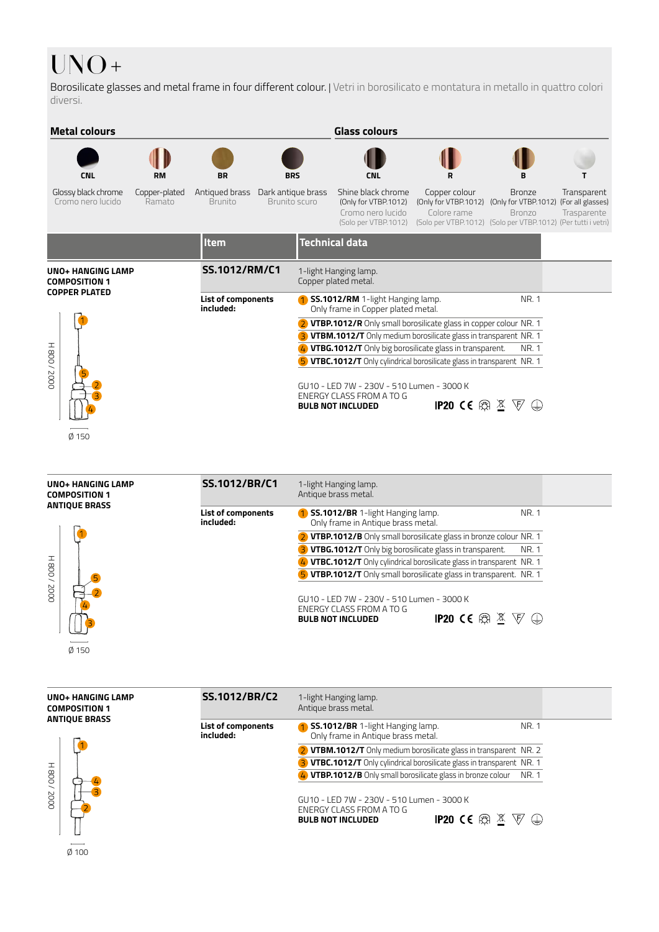## UNO+

Borosilicate glasses and metal frame in four different colour. | Vetri in borosilicato e montatura in metallo in quattro colori diversi.



Ø 150

| <b>UNO+ HANGING LAMP</b><br><b>COMPOSITION 1</b>  | SS.1012/BR/C1                   | 1-light Hanging lamp.<br>Antique brass metal.                                                                                                                   |
|---------------------------------------------------|---------------------------------|-----------------------------------------------------------------------------------------------------------------------------------------------------------------|
| <b>ANTIQUE BRASS</b><br>$H$ 800/<br>2000<br>Ø 150 | List of components<br>included: | <b>1 SS.1012/BR</b> 1-light Hanging lamp.<br>NR. 1<br>Only frame in Antique brass metal.                                                                        |
|                                                   |                                 | 2 VTBP.1012/B Only small borosilicate glass in bronze colour NR. 1                                                                                              |
|                                                   |                                 | 3 <b>VTBG.1012/T</b> Only big borosilicate glass in transparent.<br>NR. 1                                                                                       |
|                                                   |                                 | 4) VTBC.1012/T Only cylindrical borosilicate glass in transparent NR. 1                                                                                         |
|                                                   |                                 | 5 VTBP.1012/T Only small borosilicate glass in transparent. NR. 1                                                                                               |
|                                                   |                                 | GU10 - LED 7W - 230V - 510 Lumen - 3000 K<br>ENERGY CLASS FROM A TO G<br><b>IP20 CE A <math>\mathbb{X}</math></b> $\nabla$ $\oplus$<br><b>BULB NOT INCLUDED</b> |

| <b>UNO+ HANGING LAMP</b><br><b>COMPOSITION 1</b> | <b>SS.1012/BR/C2</b>            | 1-light Hanging lamp.<br>Antique brass metal.                                                                                                                   |  |
|--------------------------------------------------|---------------------------------|-----------------------------------------------------------------------------------------------------------------------------------------------------------------|--|
| <b>ANTIQUE BRASS</b><br>H800/2000                | List of components<br>included: | NR. 1<br>1 SS.1012/BR 1-light Hanging lamp.<br>Only frame in Antique brass metal.                                                                               |  |
|                                                  |                                 | 2 <b>VTBM.1012/T</b> Only medium borosilicate glass in transparent NR. 2                                                                                        |  |
|                                                  |                                 | 3 VTBC.1012/T Only cylindrical borosilicate glass in transparent NR. 1                                                                                          |  |
|                                                  |                                 | 4 <b>VTBP.1012/B</b> Only small borosilicate glass in bronze colour NR. 1                                                                                       |  |
|                                                  |                                 | GU10 - LED 7W - 230V - 510 Lumen - 3000 K<br>ENERGY CLASS FROM A TO G<br><b>IP20 CE A <math>\mathbb{X}</math></b> $\nabla$ $\oplus$<br><b>BULB NOT INCLUDED</b> |  |
| ___<br>$Ø$ 100                                   |                                 |                                                                                                                                                                 |  |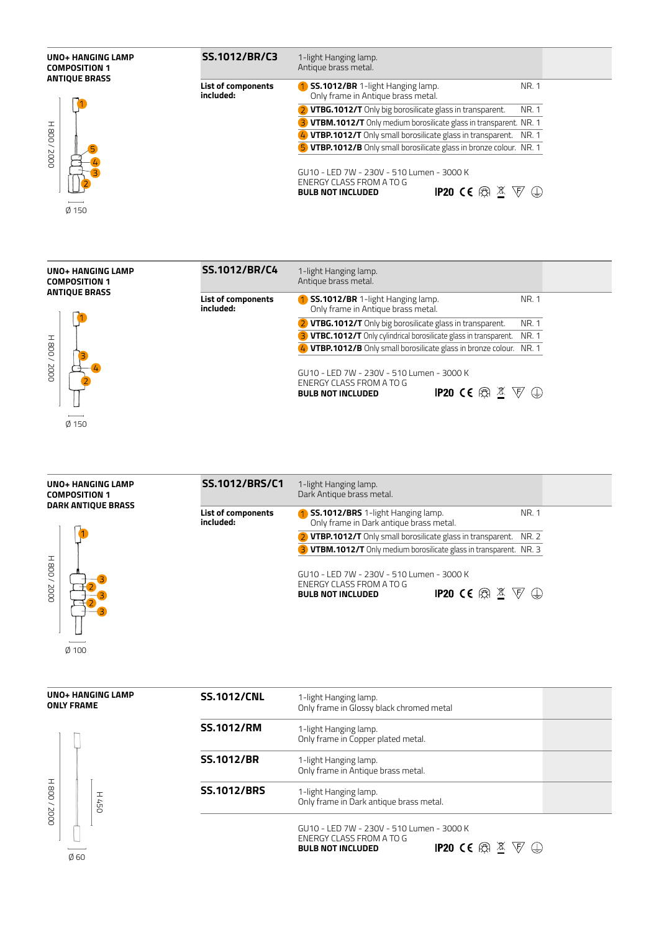





Ø 100

| <b>UNO+ HANGING LAMP</b><br><b>ONLY FRAME</b> |                            | <b>SS.1012/CNL</b> | 1-light Hanging lamp.<br>Only frame in Glossy black chromed metal                                                                                                |
|-----------------------------------------------|----------------------------|--------------------|------------------------------------------------------------------------------------------------------------------------------------------------------------------|
|                                               |                            | <b>SS.1012/RM</b>  | 1-light Hanging lamp.<br>Only frame in Copper plated metal.                                                                                                      |
| $H$ 800/<br>2000<br>Ø60                       |                            | <b>SS.1012/BR</b>  | 1-light Hanging lamp.<br>Only frame in Antique brass metal.                                                                                                      |
|                                               | H<br>$\ddot{5}$<br>$\circ$ | <b>SS.1012/BRS</b> | 1-light Hanging lamp.<br>Only frame in Dark antique brass metal.                                                                                                 |
|                                               |                            |                    | GU10 - LED 7W - 230V - 510 Lumen - 3000 K<br>ENERGY CLASS FROM A TO G<br><b>IP20 CE A <math>\mathbb{X}</math></b><br>$\nabla \oplus$<br><b>BULB NOT INCLUDED</b> |